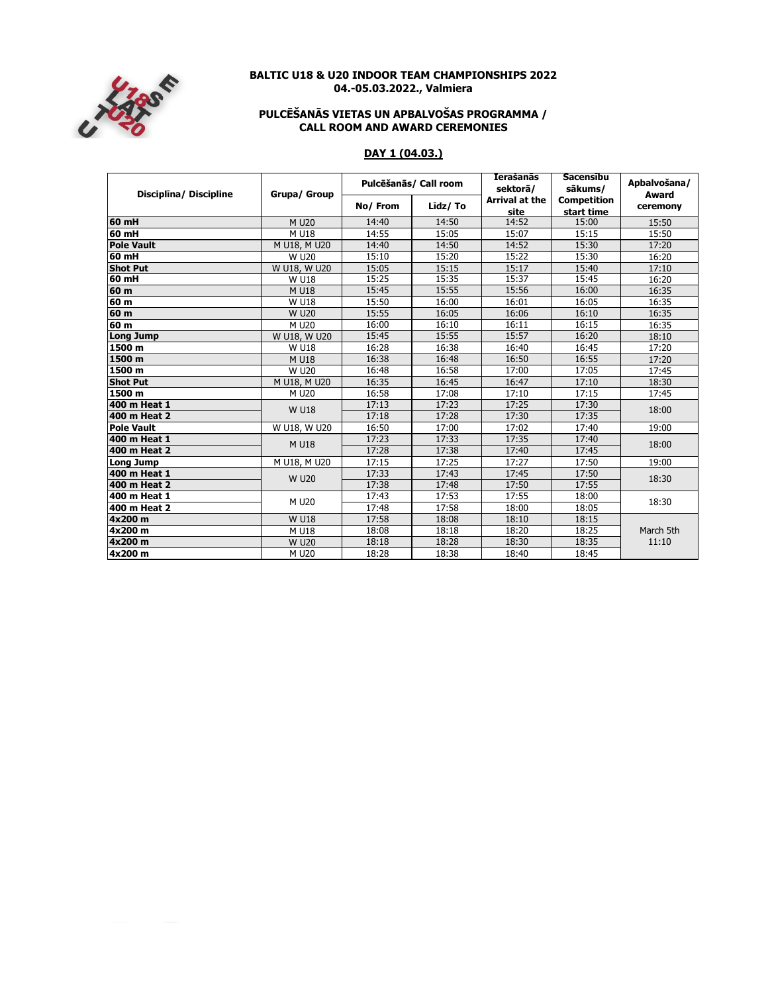

### **BALTIC U18 & U20 INDOOR TEAM CHAMPIONSHIPS 2022 04.-05.03.2022., Valmiera**

#### **CALL ROOM AND AWARD CEREMONIES PULCĒŠANĀS VIETAS UN APBALVOŠAS PROGRAMMA /**

# **DAY 1 (04.03.)**

| Disciplina/ Discipline | Grupa/ Group      | Pulcēšanās/ Call room |         | <b>Ierašanās</b><br>sektorā/  | Sacensibu<br>sākums/             | Apbalvošana/      |
|------------------------|-------------------|-----------------------|---------|-------------------------------|----------------------------------|-------------------|
|                        |                   | No/From               | Līdz/To | <b>Arrival at the</b><br>site | <b>Competition</b><br>start time | Award<br>ceremony |
| $60$ mH                | M U20             | 14:40                 | 14:50   | 14:52                         | 15:00                            | 15:50             |
| $60$ mH                | M U18             | 14:55                 | 15:05   | 15:07                         | 15:15                            | 15:50             |
| <b>Pole Vault</b>      | M U18, M U20      | 14:40                 | 14:50   | 14:52                         | 15:30                            | 17:20             |
| 60 mH                  | <b>W U20</b>      | 15:10                 | 15:20   | 15:22                         | 15:30                            | 16:20             |
| <b>Shot Put</b>        | W U18, W U20      | 15:05                 | 15:15   | 15:17                         | 15:40                            | 17:10             |
| $60$ mH                | <b>W U18</b>      | 15:25                 | 15:35   | 15:37                         | 15:45                            | 16:20             |
| 60 m                   | M U18             | 15:45                 | 15:55   | 15:56                         | 16:00                            | 16:35             |
| 60 <sub>m</sub>        | <b>W U18</b>      | 15:50                 | 16:00   | 16:01                         | 16:05                            | 16:35             |
| 60 <sub>m</sub>        | <b>W U20</b>      | 15:55                 | 16:05   | 16:06                         | 16:10                            | 16:35             |
| 60 m                   | M U20             | 16:00                 | 16:10   | 16:11                         | 16:15                            | 16:35             |
| Long Jump              | W U18, W U20      | 15:45                 | 15:55   | 15:57                         | 16:20                            | 18:10             |
| 1500 m                 | <b>W U18</b>      | 16:28                 | 16:38   | 16:40                         | 16:45                            | 17:20             |
| 1500 m                 | M U18             | 16:38                 | 16:48   | 16:50                         | 16:55                            | 17:20             |
| 1500 m                 | W U <sub>20</sub> | 16:48                 | 16:58   | 17:00                         | 17:05                            | 17:45             |
| <b>Shot Put</b>        | M U18, M U20      | 16:35                 | 16:45   | 16:47                         | 17:10                            | 18:30             |
| 1500 m                 | M U20             | 16:58                 | 17:08   | 17:10                         | 17:15                            | 17:45             |
| 400 m Heat 1           | <b>W U18</b>      | 17:13                 | 17:23   | 17:25                         | 17:30                            | 18:00             |
| 400 m Heat 2           |                   | 17:18                 | 17:28   | 17:30                         | 17:35                            |                   |
| <b>Pole Vault</b>      | W U18, W U20      | 16:50                 | 17:00   | 17:02                         | 17:40                            | 19:00             |
| 400 m Heat 1           | M U18             | 17:23                 | 17:33   | 17:35                         | 17:40                            | 18:00             |
| 400 m Heat 2           |                   | 17:28                 | 17:38   | 17:40                         | 17:45                            |                   |
| Long Jump              | M U18, M U20      | 17:15                 | 17:25   | 17:27                         | 17:50                            | 19:00             |
| 400 m Heat 1           | <b>W U20</b>      | 17:33                 | 17:43   | 17:45                         | 17:50                            | 18:30             |
| 400 m Heat 2           |                   | 17:38                 | 17:48   | 17:50                         | 17:55                            |                   |
| 400 m Heat 1           | M U20             | 17:43                 | 17:53   | 17:55                         | 18:00                            | 18:30             |
| 400 m Heat 2           |                   | 17:48                 | 17:58   | 18:00                         | 18:05                            |                   |
| 4x200 m                | <b>W U18</b>      | 17:58                 | 18:08   | 18:10                         | 18:15                            |                   |
| 4x200 m                | M U18             | 18:08                 | 18:18   | 18:20                         | 18:25                            | March 5th         |
| 4x200 m                | <b>W U20</b>      | 18:18                 | 18:28   | 18:30                         | 18:35                            | 11:10             |
| 4x200 m                | M U20             | 18:28                 | 18:38   | 18:40                         | 18:45                            |                   |